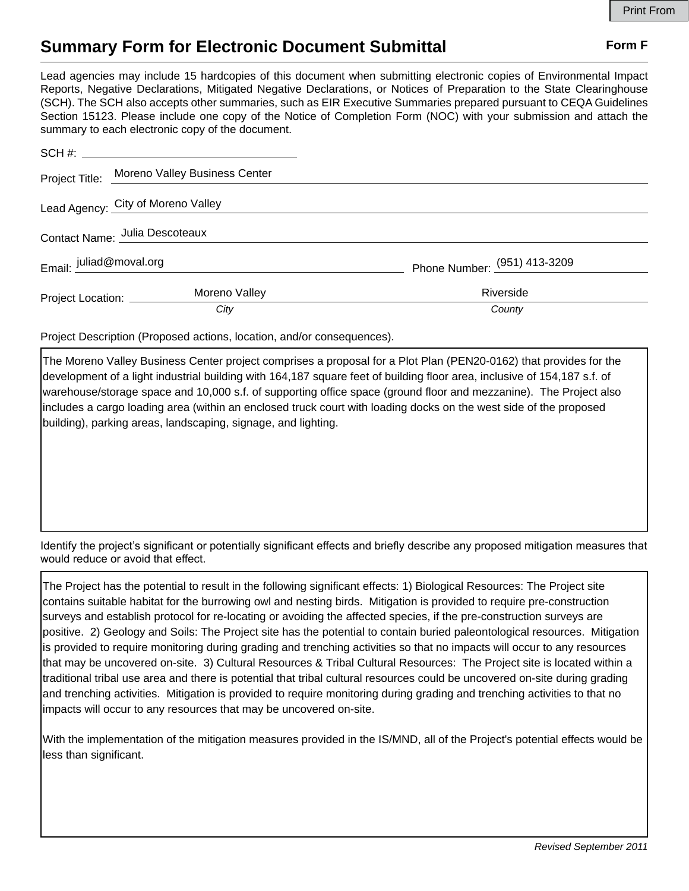## **Summary Form for Electronic Document Submittal Form F Form F**

Lead agencies may include 15 hardcopies of this document when submitting electronic copies of Environmental Impact Reports, Negative Declarations, Mitigated Negative Declarations, or Notices of Preparation to the State Clearinghouse (SCH). The SCH also accepts other summaries, such as EIR Executive Summaries prepared pursuant to CEQA Guidelines Section 15123. Please include one copy of the Notice of Completion Form (NOC) with your submission and attach the summary to each electronic copy of the document.

|                                    | Project Title: Moreno Valley Business Center |                                |
|------------------------------------|----------------------------------------------|--------------------------------|
| Lead Agency: City of Moreno Valley |                                              |                                |
| Contact Name: Julia Descoteaux     |                                              |                                |
| Email: juliad@moval.org            |                                              | Phone Number: $(951)$ 413-3209 |
| Project Location: _______          | Moreno Valley                                | Riverside                      |
|                                    | City                                         | County                         |

Project Description (Proposed actions, location, and/or consequences).

The Moreno Valley Business Center project comprises a proposal for a Plot Plan (PEN20-0162) that provides for the development of a light industrial building with 164,187 square feet of building floor area, inclusive of 154,187 s.f. of warehouse/storage space and 10,000 s.f. of supporting office space (ground floor and mezzanine). The Project also includes a cargo loading area (within an enclosed truck court with loading docks on the west side of the proposed building), parking areas, landscaping, signage, and lighting.

Identify the project's significant or potentially significant effects and briefly describe any proposed mitigation measures that would reduce or avoid that effect.

The Project has the potential to result in the following significant effects: 1) Biological Resources: The Project site contains suitable habitat for the burrowing owl and nesting birds. Mitigation is provided to require pre-construction surveys and establish protocol for re-locating or avoiding the affected species, if the pre-construction surveys are positive. 2) Geology and Soils: The Project site has the potential to contain buried paleontological resources. Mitigation is provided to require monitoring during grading and trenching activities so that no impacts will occur to any resources that may be uncovered on-site. 3) Cultural Resources & Tribal Cultural Resources: The Project site is located within a traditional tribal use area and there is potential that tribal cultural resources could be uncovered on-site during grading and trenching activities. Mitigation is provided to require monitoring during grading and trenching activities to that no impacts will occur to any resources that may be uncovered on-site.

With the implementation of the mitigation measures provided in the IS/MND, all of the Project's potential effects would be less than significant.